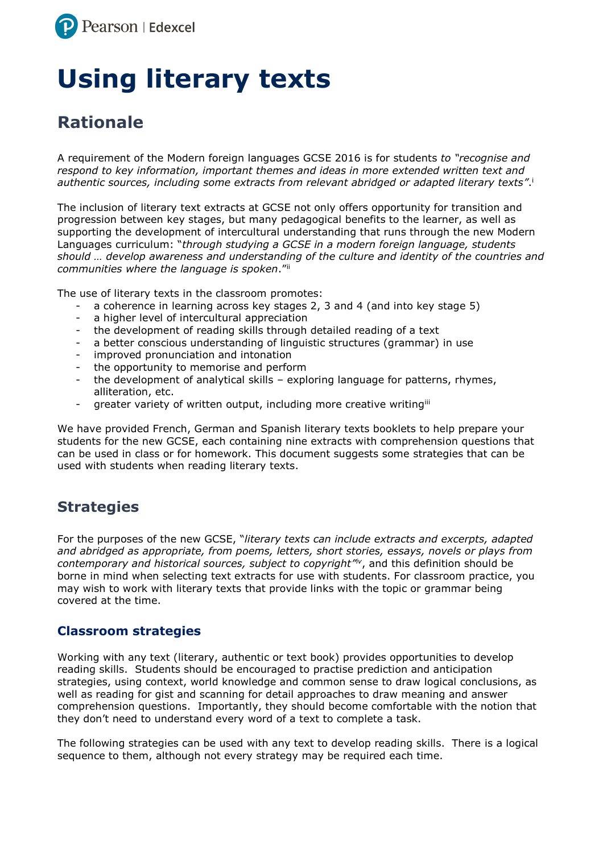

# **Using literary texts**

# **Rationale**

A requirement of the Modern foreign languages GCSE 2016 is for students *to "recognise and respond to key information, important themes and ideas in more extended written text and authentic sources, including some extracts from relevant abridged or adapted literary texts"*. i

The inclusion of literary text extracts at GCSE not only offers opportunity for transition and progression between key stages, but many pedagogical benefits to the learner, as well as supporting the development of intercultural understanding that runs through the new Modern Languages curriculum: "*through studying a GCSE in a modern foreign language, students should … develop awareness and understanding of the culture and identity of the countries and communities where the language is spoken*."ii

The use of literary texts in the classroom promotes:

- a coherence in learning across key stages 2, 3 and 4 (and into key stage 5)
- a higher level of intercultural appreciation
- the development of reading skills through detailed reading of a text
- a better conscious understanding of linguistic structures (grammar) in use
- improved pronunciation and intonation
- the opportunity to memorise and perform
- the development of analytical skills exploring language for patterns, rhymes, alliteration, etc.
- greater variety of written output, including more creative writingiii

We have provided French, German and Spanish literary texts booklets to help prepare your students for the new GCSE, each containing nine extracts with comprehension questions that can be used in class or for homework. This document suggests some strategies that can be used with students when reading literary texts.

## **Strategies**

For the purposes of the new GCSE, "*literary texts can include extracts and excerpts, adapted and abridged as appropriate, from poems, letters, short stories, essays, novels or plays from contemporary and historical sources, subject to copyright" iv*, and this definition should be borne in mind when selecting text extracts for use with students. For classroom practice, you may wish to work with literary texts that provide links with the topic or grammar being covered at the time.

#### **Classroom strategies**

Working with any text (literary, authentic or text book) provides opportunities to develop reading skills. Students should be encouraged to practise prediction and anticipation strategies, using context, world knowledge and common sense to draw logical conclusions, as well as reading for gist and scanning for detail approaches to draw meaning and answer comprehension questions. Importantly, they should become comfortable with the notion that they don't need to understand every word of a text to complete a task.

The following strategies can be used with any text to develop reading skills. There is a logical sequence to them, although not every strategy may be required each time.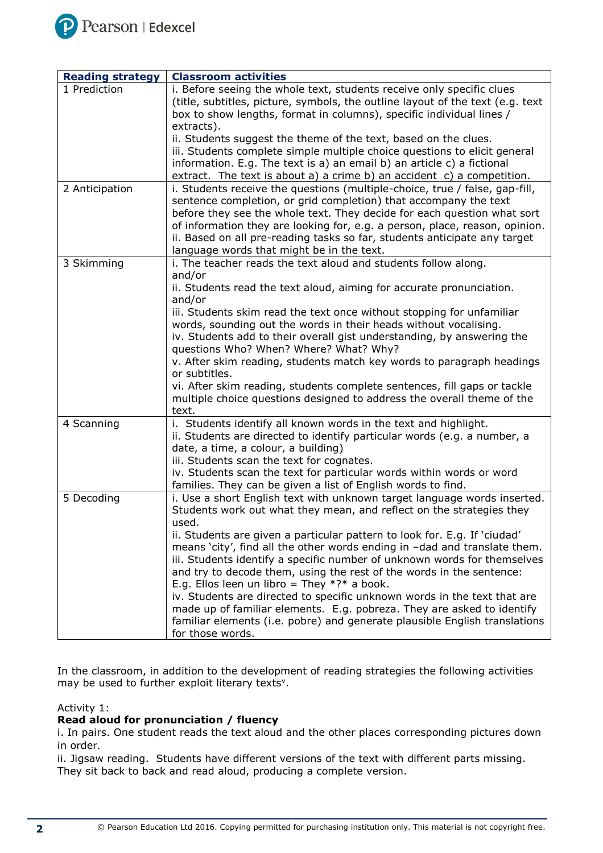

| <b>Reading strategy</b> | <b>Classroom activities</b>                                                                                                                                                                                                                                                                                                                                                                                                                                                                                                                                                                                                                                                                                                                                                      |
|-------------------------|----------------------------------------------------------------------------------------------------------------------------------------------------------------------------------------------------------------------------------------------------------------------------------------------------------------------------------------------------------------------------------------------------------------------------------------------------------------------------------------------------------------------------------------------------------------------------------------------------------------------------------------------------------------------------------------------------------------------------------------------------------------------------------|
| 1 Prediction            | i. Before seeing the whole text, students receive only specific clues<br>(title, subtitles, picture, symbols, the outline layout of the text (e.g. text<br>box to show lengths, format in columns), specific individual lines /<br>extracts).                                                                                                                                                                                                                                                                                                                                                                                                                                                                                                                                    |
|                         | ii. Students suggest the theme of the text, based on the clues.<br>iii. Students complete simple multiple choice questions to elicit general<br>information. E.g. The text is a) an email b) an article c) a fictional<br>extract. The text is about a) a crime b) an accident c) a competition.                                                                                                                                                                                                                                                                                                                                                                                                                                                                                 |
| 2 Anticipation          | i. Students receive the questions (multiple-choice, true / false, gap-fill,<br>sentence completion, or grid completion) that accompany the text<br>before they see the whole text. They decide for each question what sort<br>of information they are looking for, e.g. a person, place, reason, opinion.<br>ii. Based on all pre-reading tasks so far, students anticipate any target<br>language words that might be in the text.                                                                                                                                                                                                                                                                                                                                              |
| 3 Skimming              | i. The teacher reads the text aloud and students follow along.<br>and/or<br>ii. Students read the text aloud, aiming for accurate pronunciation.<br>and/or<br>iii. Students skim read the text once without stopping for unfamiliar<br>words, sounding out the words in their heads without vocalising.<br>iv. Students add to their overall gist understanding, by answering the<br>questions Who? When? Where? What? Why?<br>v. After skim reading, students match key words to paragraph headings<br>or subtitles.<br>vi. After skim reading, students complete sentences, fill gaps or tackle<br>multiple choice questions designed to address the overall theme of the<br>text.                                                                                             |
| 4 Scanning              | i. Students identify all known words in the text and highlight.<br>ii. Students are directed to identify particular words (e.g. a number, a<br>date, a time, a colour, a building)<br>iii. Students scan the text for cognates.<br>iv. Students scan the text for particular words within words or word<br>families. They can be given a list of English words to find.                                                                                                                                                                                                                                                                                                                                                                                                          |
| 5 Decoding              | i. Use a short English text with unknown target language words inserted.<br>Students work out what they mean, and reflect on the strategies they<br>used.<br>ii. Students are given a particular pattern to look for. E.g. If 'ciudad'<br>means 'city', find all the other words ending in -dad and translate them.<br>iii. Students identify a specific number of unknown words for themselves<br>and try to decode them, using the rest of the words in the sentence:<br>E.g. Ellos leen un libro = They $*?*$ a book.<br>iv. Students are directed to specific unknown words in the text that are<br>made up of familiar elements. E.g. pobreza. They are asked to identify<br>familiar elements (i.e. pobre) and generate plausible English translations<br>for those words. |

In the classroom, in addition to the development of reading strategies the following activities may be used to further exploit literary texts<sup>v</sup>.

#### Activity 1:

#### **Read aloud for pronunciation / fluency**

i. In pairs. One student reads the text aloud and the other places corresponding pictures down in order.

ii. Jigsaw reading. Students have different versions of the text with different parts missing. They sit back to back and read aloud, producing a complete version.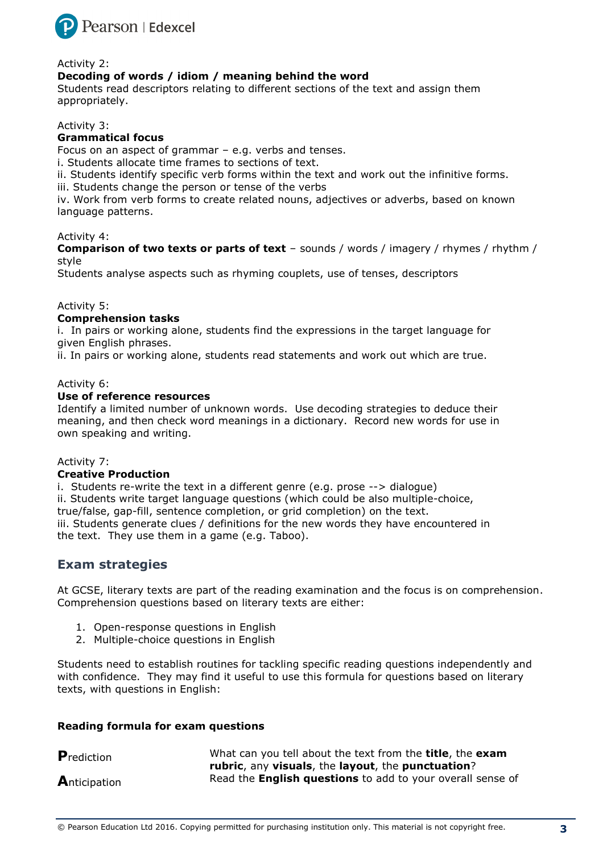

#### Activity 2:

#### **Decoding of words / idiom / meaning behind the word**

Students read descriptors relating to different sections of the text and assign them appropriately.

Activity 3:

#### **Grammatical focus**

Focus on an aspect of grammar – e.g. verbs and tenses.

i. Students allocate time frames to sections of text.

ii. Students identify specific verb forms within the text and work out the infinitive forms.

iii. Students change the person or tense of the verbs

iv. Work from verb forms to create related nouns, adjectives or adverbs, based on known language patterns.

#### Activity 4:

**Comparison of two texts or parts of text** – sounds / words / imagery / rhymes / rhythm / style

Students analyse aspects such as rhyming couplets, use of tenses, descriptors

#### Activity 5:

#### **Comprehension tasks**

i. In pairs or working alone, students find the expressions in the target language for given English phrases.

ii. In pairs or working alone, students read statements and work out which are true.

#### Activity 6:

#### **Use of reference resources**

Identify a limited number of unknown words. Use decoding strategies to deduce their meaning, and then check word meanings in a dictionary. Record new words for use in own speaking and writing.

#### Activity 7:

#### **Creative Production**

i. Students re-write the text in a different genre (e.g. prose --> dialogue) ii. Students write target language questions (which could be also multiple-choice, true/false, gap-fill, sentence completion, or grid completion) on the text. iii. Students generate clues / definitions for the new words they have encountered in the text. They use them in a game (e.g. Taboo).

#### **Exam strategies**

At GCSE, literary texts are part of the reading examination and the focus is on comprehension. Comprehension questions based on literary texts are either:

- 1. Open-response questions in English
- 2. Multiple-choice questions in English

Students need to establish routines for tackling specific reading questions independently and with confidence. They may find it useful to use this formula for questions based on literary texts, with questions in English:

#### **Reading formula for exam questions**

| <b>P</b> rediction | What can you tell about the text from the <b>title</b> , the <b>exam</b> |
|--------------------|--------------------------------------------------------------------------|
|                    | rubric, any visuals, the layout, the punctuation?                        |
| Anticipation       | Read the <b>English questions</b> to add to your overall sense of        |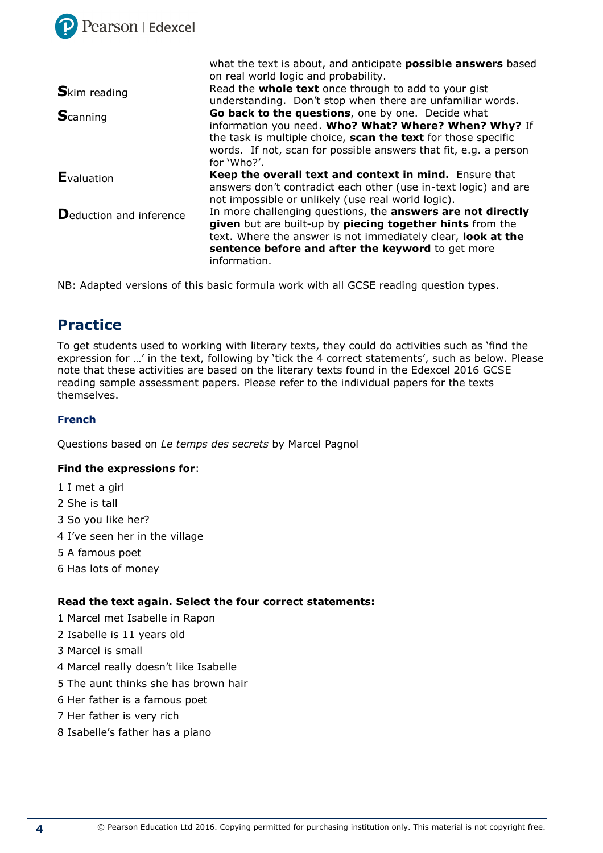

|                                 | what the text is about, and anticipate <b>possible answers</b> based                                                                                                            |
|---------------------------------|---------------------------------------------------------------------------------------------------------------------------------------------------------------------------------|
|                                 | on real world logic and probability.                                                                                                                                            |
| <b>S</b> kim reading            | Read the whole text once through to add to your gist<br>understanding. Don't stop when there are unfamiliar words.                                                              |
| <b>S</b> canning                | Go back to the questions, one by one. Decide what                                                                                                                               |
|                                 | information you need. Who? What? Where? When? Why? If                                                                                                                           |
|                                 | the task is multiple choice, scan the text for those specific                                                                                                                   |
|                                 | words. If not, scan for possible answers that fit, e.g. a person                                                                                                                |
|                                 | for 'Who?'.                                                                                                                                                                     |
| <b>E</b> valuation              | Keep the overall text and context in mind. Ensure that<br>answers don't contradict each other (use in-text logic) and are<br>not impossible or unlikely (use real world logic). |
| <b>D</b> eduction and inference | In more challenging questions, the answers are not directly                                                                                                                     |
|                                 | given but are built-up by piecing together hints from the                                                                                                                       |
|                                 | text. Where the answer is not immediately clear, look at the                                                                                                                    |
|                                 | sentence before and after the keyword to get more                                                                                                                               |
|                                 | information.                                                                                                                                                                    |

NB: Adapted versions of this basic formula work with all GCSE reading question types.

## **Practice**

To get students used to working with literary texts, they could do activities such as 'find the expression for …' in the text, following by 'tick the 4 correct statements', such as below. Please note that these activities are based on the literary texts found in the Edexcel 2016 GCSE reading sample assessment papers. Please refer to the individual papers for the texts themselves.

#### **French**

Questions based on *Le temps des secrets* by Marcel Pagnol

#### **Find the expressions for**:

- 1 I met a girl
- 2 She is tall
- 3 So you like her?
- 4 I've seen her in the village
- 5 A famous poet
- 6 Has lots of money

#### **Read the text again. Select the four correct statements:**

- 1 Marcel met Isabelle in Rapon
- 2 Isabelle is 11 years old
- 3 Marcel is small
- 4 Marcel really doesn't like Isabelle
- 5 The aunt thinks she has brown hair
- 6 Her father is a famous poet
- 7 Her father is very rich
- 8 Isabelle's father has a piano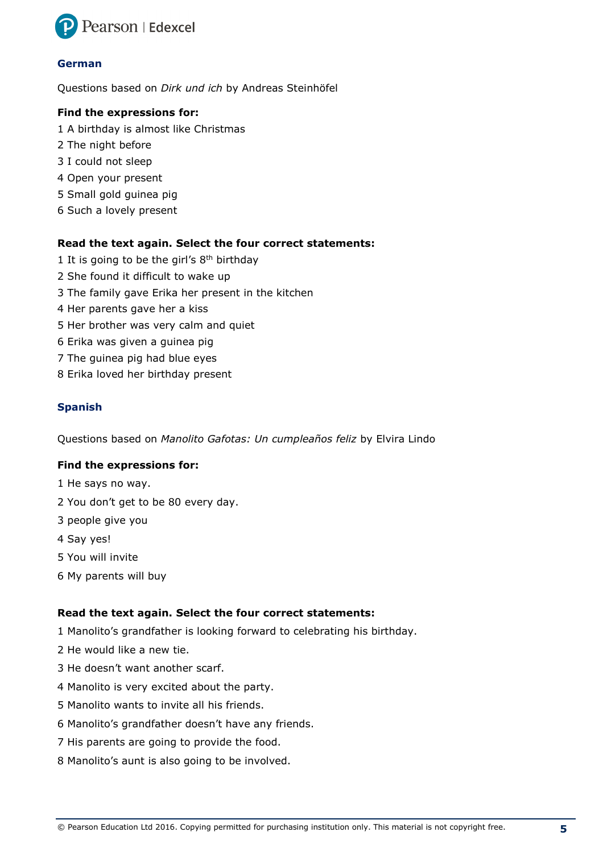

#### **German**

Questions based on *Dirk und ich* by Andreas Steinhöfel

#### **Find the expressions for:**

- 1 A birthday is almost like Christmas
- 2 The night before
- 3 I could not sleep
- 4 Open your present
- 5 Small gold guinea pig
- 6 Such a lovely present

#### **Read the text again. Select the four correct statements:**

- 1 It is going to be the girl's  $8<sup>th</sup>$  birthday
- 2 She found it difficult to wake up
- 3 The family gave Erika her present in the kitchen
- 4 Her parents gave her a kiss
- 5 Her brother was very calm and quiet
- 6 Erika was given a guinea pig
- 7 The guinea pig had blue eyes
- 8 Erika loved her birthday present

#### **Spanish**

Questions based on *Manolito Gafotas: Un cumpleaños feliz* by Elvira Lindo

#### **Find the expressions for:**

- 1 He says no way.
- 2 You don't get to be 80 every day.
- 3 people give you
- 4 Say yes!
- 5 You will invite
- 6 My parents will buy

#### **Read the text again. Select the four correct statements:**

- 1 Manolito's grandfather is looking forward to celebrating his birthday.
- 2 He would like a new tie.
- 3 He doesn't want another scarf.
- 4 Manolito is very excited about the party.
- 5 Manolito wants to invite all his friends.
- 6 Manolito's grandfather doesn't have any friends.
- 7 His parents are going to provide the food.
- 8 Manolito's aunt is also going to be involved.